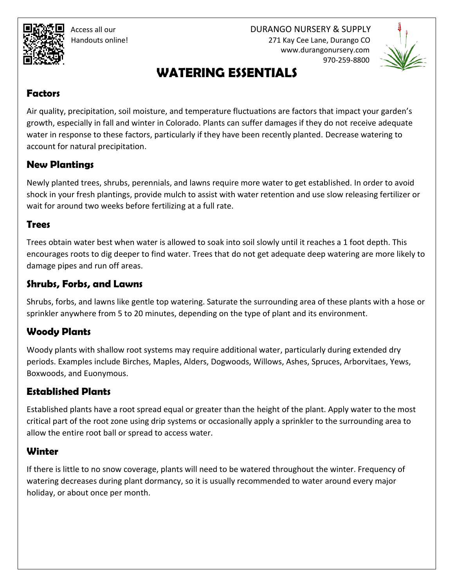Access all our DURANGO NURSERY & SUPPLY Handouts online! 271 Kay Cee Lane, Durango CO www.durangonursery.com 970-259-8800



# **WATERING ESSENTIALS**

#### **Factors**

Air quality, precipitation, soil moisture, and temperature fluctuations are factors that impact your garden's growth, especially in fall and winter in Colorado. Plants can suffer damages if they do not receive adequate water in response to these factors, particularly if they have been recently planted. Decrease watering to account for natural precipitation.

#### **New Plantings**

Newly planted trees, shrubs, perennials, and lawns require more water to get established. In order to avoid shock in your fresh plantings, provide mulch to assist with water retention and use slow releasing fertilizer or wait for around two weeks before fertilizing at a full rate.

#### **Trees**

Trees obtain water best when water is allowed to soak into soil slowly until it reaches a 1 foot depth. This encourages roots to dig deeper to find water. Trees that do not get adequate deep watering are more likely to damage pipes and run off areas.

### **Shrubs, Forbs, and Lawns**

Shrubs, forbs, and lawns like gentle top watering. Saturate the surrounding area of these plants with a hose or sprinkler anywhere from 5 to 20 minutes, depending on the type of plant and its environment.

## **Woody Plants**

Woody plants with shallow root systems may require additional water, particularly during extended dry periods. Examples include Birches, Maples, Alders, Dogwoods, Willows, Ashes, Spruces, Arborvitaes, Yews, Boxwoods, and Euonymous.

### **Established Plants**

Established plants have a root spread equal or greater than the height of the plant. Apply water to the most critical part of the root zone using drip systems or occasionally apply a sprinkler to the surrounding area to allow the entire root ball or spread to access water.

### **Winter**

If there is little to no snow coverage, plants will need to be watered throughout the winter. Frequency of watering decreases during plant dormancy, so it is usually recommended to water around every major holiday, or about once per month.